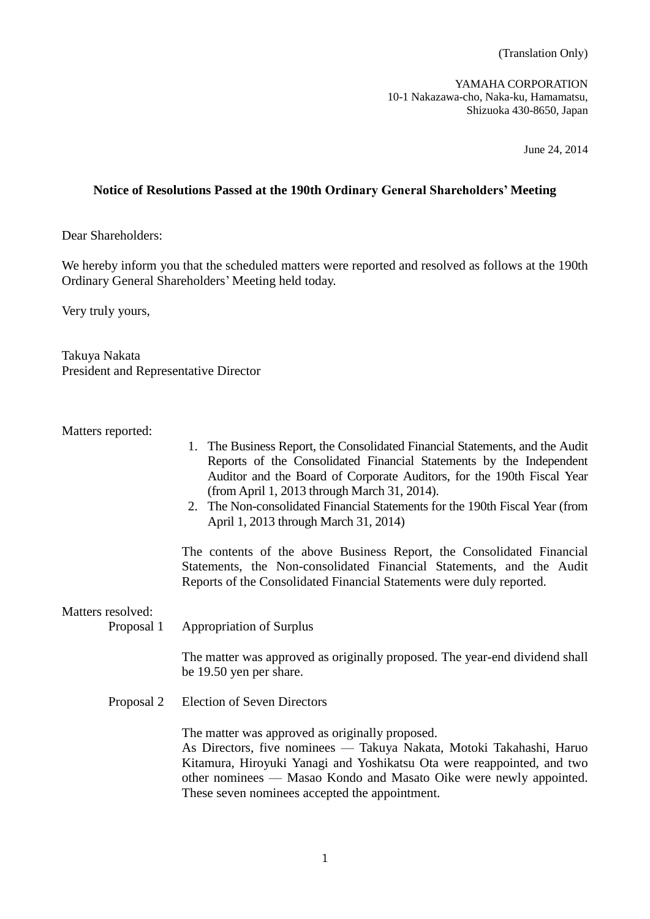(Translation Only)

YAMAHA CORPORATION 10-1 Nakazawa-cho, Naka-ku, Hamamatsu, Shizuoka 430-8650, Japan

June 24, 2014

# **Notice of Resolutions Passed at the 190th Ordinary General Shareholders' Meeting**

Dear Shareholders:

We hereby inform you that the scheduled matters were reported and resolved as follows at the 190th Ordinary General Shareholders' Meeting held today.

Very truly yours,

Takuya Nakata President and Representative Director

Matters reported:

- 1. The Business Report, the Consolidated Financial Statements, and the Audit Reports of the Consolidated Financial Statements by the Independent Auditor and the Board of Corporate Auditors, for the 190th Fiscal Year (from April 1, 2013 through March 31, 2014).
- 2. The Non-consolidated Financial Statements for the 190th Fiscal Year (from April 1, 2013 through March 31, 2014)

The contents of the above Business Report, the Consolidated Financial Statements, the Non-consolidated Financial Statements, and the Audit Reports of the Consolidated Financial Statements were duly reported.

Matters resolved:

Proposal 1 Appropriation of Surplus

The matter was approved as originally proposed. The year-end dividend shall be 19.50 yen per share.

Proposal 2 Election of Seven Directors

The matter was approved as originally proposed. As Directors, five nominees — Takuya Nakata, Motoki Takahashi, Haruo Kitamura, Hiroyuki Yanagi and Yoshikatsu Ota were reappointed, and two other nominees –– Masao Kondo and Masato Oike were newly appointed. These seven nominees accepted the appointment.